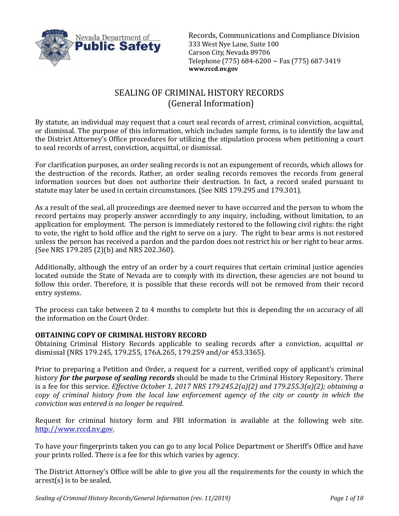

Records, Communications and Compliance Division 333 West Nye Lane, Suite 100 Carson City, Nevada 89706 Telephone (775) 684-6200 ~ Fax (775) 687-3419 **www.rccd.nv.gov**

# SEALING OF CRIMINAL HISTORY RECORDS (General Information)

By statute, an individual may request that a court seal records of arrest, criminal conviction, acquittal, or dismissal. The purpose of this information, which includes sample forms, is to identify the law and the District Attorney's Office procedures for utilizing the stipulation process when petitioning a court to seal records of arrest, conviction, acquittal, or dismissal.

For clarification purposes, an order sealing records is not an expungement of records, which allows for the destruction of the records. Rather, an order sealing records removes the records from general information sources but does not authorize their destruction. In fact, a record sealed pursuant to statute may later be used in certain circumstances. (See NRS 179.295 and 179.301).

As a result of the seal, all proceedings are deemed never to have occurred and the person to whom the record pertains may properly answer accordingly to any inquiry, including, without limitation, to an application for employment. The person is immediately restored to the following civil rights: the right to vote, the right to hold office and the right to serve on a jury. The right to bear arms is not restored unless the person has received a pardon and the pardon does not restrict his or her right to bear arms. (See NRS 179.285 (2)(b) and NRS 202.360).

Additionally, although the entry of an order by a court requires that certain criminal justice agencies located outside the State of Nevada are to comply with its direction, these agencies are not bound to follow this order. Therefore, it is possible that these records will not be removed from their record entry systems.

The process can take between 2 to 4 months to complete but this is depending the on accuracy of all the information on the Court Order.

# **OBTAINING COPY OF CRIMINAL HISTORY RECORD**

Obtaining Criminal History Records applicable to sealing records after a conviction, acquittal or dismissal (NRS 179.245*,* 179.255*,* 176A.265, 179.259 and/or 453.3365).

Prior to preparing a Petition and Order, a request for a current, verified copy of applicant's criminal history *for the purpose of sealing records* should be made to the Criminal History Repository. There is a fee for this service. *Effective October 1, 2017 NRS 179.245.2(a)(2) and 179.255.3(a)(2); obtaining a copy of criminal history from the local law enforcement agency of the city or county in which the conviction was entered is no longer be required*.

Request for criminal history form and FBI information is available at the following web site. [http://www.rccd.nv.gov.](http://www.rccd.nv.gov/)

To have your fingerprints taken you can go to any local Police Department or Sheriff's Office and have your prints rolled. There is a fee for this which varies by agency.

The District Attorney's Office will be able to give you all the requirements for the county in which the arrest(s) is to be sealed.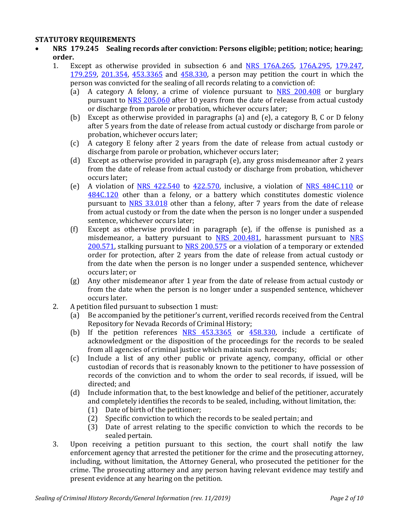### **STATUTORY REQUIREMENTS**

- **NRS 179.245 Sealing records after conviction: Persons eligible; petition; notice; hearing; order.**
	- 1. Except as otherwise provided in subsection 6 and [NRS 176A.265,](https://www.leg.state.nv.us/NRS/NRS-176A.html#NRS176ASec265) [176A.295,](https://www.leg.state.nv.us/NRS/NRS-176A.html#NRS176ASec295) [179.247,](https://www.leg.state.nv.us/NRS/NRS-179.html#NRS179Sec247) [179.259,](https://www.leg.state.nv.us/NRS/NRS-179.html#NRS179Sec259) [201.354,](https://www.leg.state.nv.us/NRS/NRS-201.html#NRS201Sec354) [453.3365](https://www.leg.state.nv.us/NRS/NRS-453.html#NRS453Sec3365) and [458.330,](https://www.leg.state.nv.us/NRS/NRS-458.html#NRS458Sec330) a person may petition the court in which the
		- person was convicted for the sealing of all records relating to a conviction of:<br>(a) A category A felony, a crime of violence pursuant to NRS 200.40 A category A felony, a crime of violence pursuant to [NRS 200.408](https://www.leg.state.nv.us/NRS/NRS-200.html#NRS200Sec408) or burglary pursuant to [NRS 205.060](https://www.leg.state.nv.us/NRS/NRS-205.html#NRS205Sec060) after 10 years from the date of release from actual custody or discharge from parole or probation, whichever occurs later;
		- (b) Except as otherwise provided in paragraphs (a) and (e), a category B, C or D felony after 5 years from the date of release from actual custody or discharge from parole or probation, whichever occurs later;
		- (c) A category E felony after 2 years from the date of release from actual custody or discharge from parole or probation, whichever occurs later;
		- (d) Except as otherwise provided in paragraph (e), any gross misdemeanor after 2 years from the date of release from actual custody or discharge from probation, whichever occurs later;
		- (e) A violation of NRS  $422.540$  to  $422.570$ , inclusive, a violation of NRS  $484C.110$  or [484C.120](https://www.leg.state.nv.us/NRS/NRS-484C.html#NRS484CSec120) other than a felony, or a battery which constitutes domestic violence pursuant to [NRS 33.018](https://www.leg.state.nv.us/NRS/NRS-033.html#NRS033Sec018) other than a felony, after 7 years from the date of release from actual custody or from the date when the person is no longer under a suspended sentence, whichever occurs later;
		- (f) Except as otherwise provided in paragraph (e), if the offense is punished as a misdemeanor, a battery pursuant to **[NRS](https://www.leg.state.nv.us/NRS/NRS-200.html#NRS200Sec571) 200.481**, harassment pursuant to **NRS** [200.571,](https://www.leg.state.nv.us/NRS/NRS-200.html#NRS200Sec571) stalking pursuant to [NRS 200.575](https://www.leg.state.nv.us/NRS/NRS-200.html#NRS200Sec575) or a violation of a temporary or extended order for protection, after 2 years from the date of release from actual custody or from the date when the person is no longer under a suspended sentence, whichever occurs later; or
		- (g) Any other misdemeanor after 1 year from the date of release from actual custody or from the date when the person is no longer under a suspended sentence, whichever occurs later.
	- 2. A petition filed pursuant to subsection 1 must:<br>(a) Be accompanied by the petitioner's curre
		- Be accompanied by the petitioner's current, verified records received from the Central Repository for Nevada Records of Criminal History;
		- (b) If the petition references  $NRS$  453.3365 or [458.330,](https://www.leg.state.nv.us/NRS/NRS-458.html#NRS458Sec330) include a certificate of acknowledgment or the disposition of the proceedings for the records to be sealed from all agencies of criminal justice which maintain such records;
		- (c) Include a list of any other public or private agency, company, official or other custodian of records that is reasonably known to the petitioner to have possession of records of the conviction and to whom the order to seal records, if issued, will be directed; and
		- (d) Include information that, to the best knowledge and belief of the petitioner, accurately and completely identifies the records to be sealed, including, without limitation, the:<br>(1) Date of birth of the petitioner;
			- (1) Date of birth of the petitioner;<br>(2) Specific conviction to which the
			- Specific conviction to which the records to be sealed pertain; and
			- (3) Date of arrest relating to the specific conviction to which the records to be sealed pertain.
	- 3. Upon receiving a petition pursuant to this section, the court shall notify the law enforcement agency that arrested the petitioner for the crime and the prosecuting attorney, including, without limitation, the Attorney General, who prosecuted the petitioner for the crime. The prosecuting attorney and any person having relevant evidence may testify and present evidence at any hearing on the petition.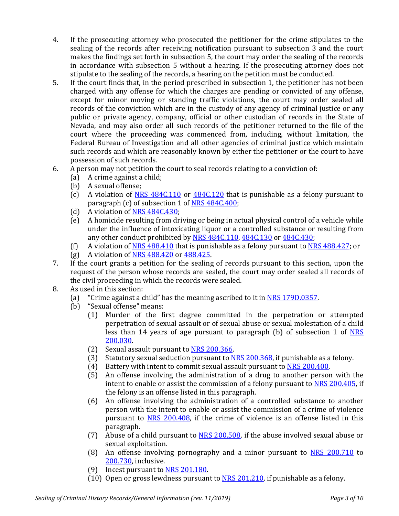- 4. If the prosecuting attorney who prosecuted the petitioner for the crime stipulates to the sealing of the records after receiving notification pursuant to subsection 3 and the court makes the findings set forth in subsection 5, the court may order the sealing of the records in accordance with subsection 5 without a hearing. If the prosecuting attorney does not stipulate to the sealing of the records, a hearing on the petition must be conducted.
- 5. If the court finds that, in the period prescribed in subsection 1, the petitioner has not been charged with any offense for which the charges are pending or convicted of any offense, except for minor moving or standing traffic violations, the court may order sealed all records of the conviction which are in the custody of any agency of criminal justice or any public or private agency, company, official or other custodian of records in the State of Nevada, and may also order all such records of the petitioner returned to the file of the court where the proceeding was commenced from, including, without limitation, the Federal Bureau of Investigation and all other agencies of criminal justice which maintain such records and which are reasonably known by either the petitioner or the court to have possession of such records.
- 6. A person may not petition the court to seal records relating to a conviction of:
	- A crime against a child;
	- (b) A sexual offense;<br>(c) A violation of  $N_F$
	- A violation of [NRS 484C.110](https://www.leg.state.nv.us/NRS/NRS-484C.html#NRS484CSec110) or [484C.120](https://www.leg.state.nv.us/NRS/NRS-484C.html#NRS484CSec120) that is punishable as a felony pursuant to paragraph (c) of subsection 1 o[f NRS 484C.400;](https://www.leg.state.nv.us/NRS/NRS-484C.html#NRS484CSec400)
	- (d) A violation of <u>NRS 484C.430</u>;<br>(e) A homicide resulting from dri
	- A homicide resulting from driving or being in actual physical control of a vehicle while under the influence of intoxicating liquor or a controlled substance or resulting from any other conduct prohibited b[y NRS 484C.110,](https://www.leg.state.nv.us/NRS/NRS-484C.html#NRS484CSec110) [484C.130](https://www.leg.state.nv.us/NRS/NRS-484C.html#NRS484CSec130) or [484C.430;](https://www.leg.state.nv.us/NRS/NRS-484C.html#NRS484CSec430)
	- (f) A violation of <u>NRS 488.410</u> that is punishable as a felony pursuant to <u>NRS 488.427</u>; or (g) A violation of <u>NRS 488.420</u> or <u>488.425</u>.
	- A violation of [NRS 488.420](https://www.leg.state.nv.us/NRS/NRS-488.html#NRS488Sec420) or [488.425.](https://www.leg.state.nv.us/NRS/NRS-488.html#NRS488Sec425)
- 7. If the court grants a petition for the sealing of records pursuant to this section, upon the request of the person whose records are sealed, the court may order sealed all records of the civil proceeding in which the records were sealed.
- 8. As used in this section:<br>(a) "Crime against a c
	- (a) "Crime against a child" has the meaning ascribed to it in  $NRS$  179D.0357.<br>(b) "Sexual offense" means:
	- "Sexual offense" means:<br>(1) Murder of the fi
		- Murder of the first degree committed in the perpetration or attempted perpetration of sexual assault or of sexual abuse or sexual molestation of a child less than 14 years of age pursuant to paragraph (b) of subsection 1 of [NRS](https://www.leg.state.nv.us/NRS/NRS-200.html#NRS200Sec030)  [200.030.](https://www.leg.state.nv.us/NRS/NRS-200.html#NRS200Sec030)
		- (2) Sexual assault pursuant to [NRS 200.366.](https://www.leg.state.nv.us/NRS/NRS-200.html#NRS200Sec366)<br>(3) Statutory sexual seduction pursuant to N
		- (3) Statutory sexual seduction pursuant to  $NRS$  200.368, if punishable as a felony.<br>(4) Battery with intent to commit sexual assault pursuant to  $NRS$  200.400.
		- (4) Battery with intent to commit sexual assault pursuant to <u>NRS 200.400</u>.<br>(5) An offense involving the administration of a drug to another persor
		- An offense involving the administration of a drug to another person with the intent to enable or assist the commission of a felony pursuant to [NRS 200.405,](https://www.leg.state.nv.us/NRS/NRS-200.html#NRS200Sec405) if the felony is an offense listed in this paragraph.
		- (6) An offense involving the administration of a controlled substance to another person with the intent to enable or assist the commission of a crime of violence pursuant to [NRS 200.408,](https://www.leg.state.nv.us/NRS/NRS-200.html#NRS200Sec408) if the crime of violence is an offense listed in this paragraph.
		- (7) Abuse of a child pursuant to [NRS 200.508,](https://www.leg.state.nv.us/NRS/NRS-200.html#NRS200Sec508) if the abuse involved sexual abuse or sexual exploitation.
		- (8) An offense involving pornography and a minor pursuant to [NRS 200.710](https://www.leg.state.nv.us/NRS/NRS-200.html#NRS200Sec710) to [200.730,](https://www.leg.state.nv.us/NRS/NRS-200.html#NRS200Sec730) inclusive.
		- (9) Incest pursuant to [NRS 201.180.](https://www.leg.state.nv.us/NRS/NRS-201.html#NRS201Sec180)
		- (10) Open or gross lewdness pursuant to [NRS 201.210,](https://www.leg.state.nv.us/NRS/NRS-201.html#NRS201Sec210) if punishable as a felony.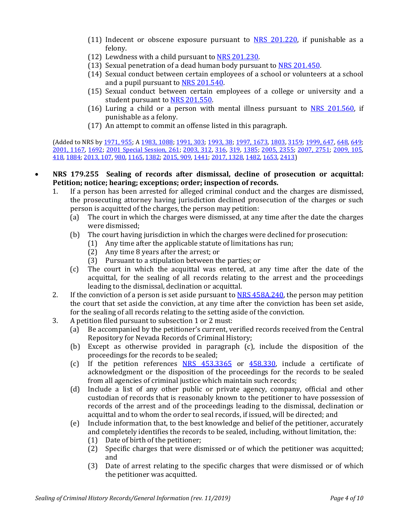- (11) Indecent or obscene exposure pursuant to  $NRS$  201.220, if punishable as a felony.
- (12) Lewdness with a child pursuant to [NRS 201.230.](https://www.leg.state.nv.us/NRS/NRS-201.html#NRS201Sec230)
- (13) Sexual penetration of a dead human body pursuant to [NRS 201.450.](https://www.leg.state.nv.us/NRS/NRS-201.html#NRS201Sec450)
- (14) Sexual conduct between certain employees of a school or volunteers at a school and a pupil pursuant to [NRS 201.540.](https://www.leg.state.nv.us/NRS/NRS-201.html#NRS201Sec540)
- (15) Sexual conduct between certain employees of a college or university and a student pursuant to [NRS 201.550.](https://www.leg.state.nv.us/NRS/NRS-201.html#NRS201Sec550)
- (16) Luring a child or a person with mental illness pursuant to [NRS 201.560,](https://www.leg.state.nv.us/NRS/NRS-201.html#NRS201Sec560) if punishable as a felony.
- (17) An attempt to commit an offense listed in this paragraph.

(Added to NRS by [1971, 955;](https://www.leg.state.nv.us/Statutes/56th/Stats197104.html#Stats197104page955) A [1983, 1088;](https://www.leg.state.nv.us/Statutes/62nd/Stats198305.html#Stats198305page1088) [1991, 303;](https://www.leg.state.nv.us/Statutes/66th/Stats199102.html#Stats199102page303) [1993, 38;](https://www.leg.state.nv.us/Statutes/67th/Stats199301.html#Stats199301page38) [1997, 1673,](https://www.leg.state.nv.us/Statutes/69th/Stats199712.html#Stats199712page1673) [1803,](https://www.leg.state.nv.us/Statutes/69th/Stats199713.html#Stats199713page1803) [3159;](https://www.leg.state.nv.us/Statutes/69th/Stats199721.html#Stats199721page3159) [1999, 647,](https://www.leg.state.nv.us/Statutes/70th/Stats199904.html#Stats199904page647) [648,](https://www.leg.state.nv.us/Statutes/70th/Stats199904.html#Stats199904page648) 649; [2001, 1167,](https://www.leg.state.nv.us/Statutes/71st/Stats200109.html#Stats200109page1167) [1692;](https://www.leg.state.nv.us/Statutes/71st/Stats200112.html#Stats200112page1692) [2001 Special Session, 261;](https://www.leg.state.nv.us/Statutes/17thSS/Stats2001SS1702.html#Stats2001SS1702page261) [2003, 312,](https://www.leg.state.nv.us/Statutes/72nd/Stats200301.html#Stats200301page312) [316,](https://www.leg.state.nv.us/Statutes/72nd/Stats200301.html#Stats200301page316) [319,](https://www.leg.state.nv.us/Statutes/72nd/Stats200301.html#Stats200301page319) [1385;](https://www.leg.state.nv.us/Statutes/72nd/Stats200311.html#Stats200311page1385) [2005, 2355;](https://www.leg.state.nv.us/Statutes/73rd/Stats200523.html#Stats200523page2355) [2007, 2751;](https://www.leg.state.nv.us/Statutes/74th/Stats200723.html#Stats200723page2751) [2009, 105,](https://www.leg.state.nv.us/Statutes/75th2009/Stats200902.html#Stats200902page105) [418,](https://www.leg.state.nv.us/Statutes/75th2009/Stats200905.html#Stats200905page418) [1884;](https://www.leg.state.nv.us/Statutes/75th2009/Stats200919.html#Stats200919page1884) [2013, 107,](https://www.leg.state.nv.us/Statutes/77th2013/Stats201301.html#Stats201301page107) [980,](https://www.leg.state.nv.us/Statutes/77th2013/Stats201306.html#Stats201306page980) [1165,](https://www.leg.state.nv.us/Statutes/77th2013/Stats201307.html#Stats201307page1165) [1382;](https://www.leg.state.nv.us/Statutes/77th2013/Stats201308.html#Stats201308page1382) [2015, 909,](https://www.leg.state.nv.us/Statutes/78th2015/Stats201509.html#Stats201509page909) [1441;](https://www.leg.state.nv.us/Statutes/78th2015/Stats201513.html#Stats201513page1441) [2017, 1328,](https://www.leg.state.nv.us/Statutes/79th2017/Stats201708.html#Stats201708page1328) [1482,](https://www.leg.state.nv.us/Statutes/79th2017/Stats201709.html#Stats201709page1482) [1653,](https://www.leg.state.nv.us/Statutes/79th2017/Stats201710.html#Stats201710page1653) [2413\)](https://www.leg.state.nv.us/Statutes/79th2017/Stats201714.html#Stats201714page2413)

- **NRS 179.255 Sealing of records after dismissal, decline of prosecution or acquittal: Petition; notice; hearing; exceptions; order; inspection of records.**
	- 1. If a person has been arrested for alleged criminal conduct and the charges are dismissed, the prosecuting attorney having jurisdiction declined prosecution of the charges or such person is acquitted of the charges, the person may petition:<br>(a) The court in which the charges were dismissed, at any
		- The court in which the charges were dismissed, at any time after the date the charges were dismissed;
		- (b) The court having jurisdiction in which the charges were declined for prosecution:<br>(1) Any time after the applicable statute of limitations has run;
			- Any time after the applicable statute of limitations has run;
				- (2) Any time 8 years after the arrest; or
				- (3) Pursuant to a stipulation between the parties; or
		- (c) The court in which the acquittal was entered, at any time after the date of the acquittal, for the sealing of all records relating to the arrest and the proceedings leading to the dismissal, declination or acquittal.
	- 2. If the conviction of a person is set aside pursuant to [NRS 458A.240,](https://www.leg.state.nv.us/NRS/NRS-458A.html#NRS458ASec240) the person may petition the court that set aside the conviction, at any time after the conviction has been set aside, for the sealing of all records relating to the setting aside of the conviction.
	- 3. A petition filed pursuant to subsection 1 or 2 must:<br>(a) Be accompanied by the petitioner's current, ve
		- Be accompanied by the petitioner's current, verified records received from the Central Repository for Nevada Records of Criminal History;
		- (b) Except as otherwise provided in paragraph (c), include the disposition of the proceedings for the records to be sealed;
		- (c) If the petition references [NRS 453.3365](https://www.leg.state.nv.us/NRS/NRS-453.html#NRS453Sec3365) or [458.330,](https://www.leg.state.nv.us/NRS/NRS-458.html#NRS458Sec330) include a certificate of acknowledgment or the disposition of the proceedings for the records to be sealed from all agencies of criminal justice which maintain such records;
		- (d) Include a list of any other public or private agency, company, official and other custodian of records that is reasonably known to the petitioner to have possession of records of the arrest and of the proceedings leading to the dismissal, declination or acquittal and to whom the order to seal records, if issued, will be directed; and
		- (e) Include information that, to the best knowledge and belief of the petitioner, accurately and completely identifies the records to be sealed, including, without limitation, the:
			- (1) Date of birth of the petitioner;
			- (2) Specific charges that were dismissed or of which the petitioner was acquitted; and
			- (3) Date of arrest relating to the specific charges that were dismissed or of which the petitioner was acquitted.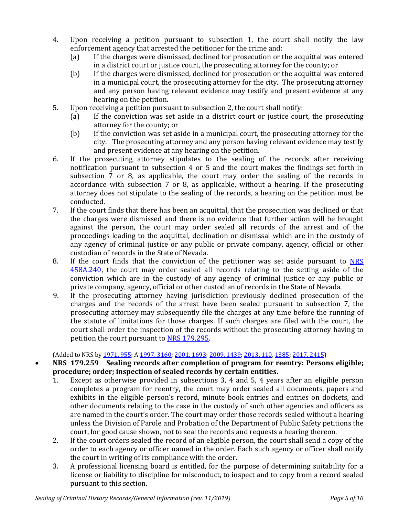- 4. Upon receiving a petition pursuant to subsection 1, the court shall notify the law enforcement agency that arrested the petitioner for the crime and:<br>(a) If the charges were dismissed, declined for prosecution or t
	- If the charges were dismissed, declined for prosecution or the acquittal was entered in a district court or justice court, the prosecuting attorney for the county; or
	- (b) If the charges were dismissed, declined for prosecution or the acquittal was entered in a municipal court, the prosecuting attorney for the city. The prosecuting attorney and any person having relevant evidence may testify and present evidence at any hearing on the petition.
- 5. Upon receiving a petition pursuant to subsection 2, the court shall notify:<br>(a) If the conviction was set aside in a district court or justice cour
	- If the conviction was set aside in a district court or justice court, the prosecuting attorney for the county; or
	- (b) If the conviction was set aside in a municipal court, the prosecuting attorney for the city. The prosecuting attorney and any person having relevant evidence may testify and present evidence at any hearing on the petition.
- 6. If the prosecuting attorney stipulates to the sealing of the records after receiving notification pursuant to subsection 4 or 5 and the court makes the findings set forth in subsection 7 or 8, as applicable, the court may order the sealing of the records in accordance with subsection 7 or 8, as applicable, without a hearing. If the prosecuting attorney does not stipulate to the sealing of the records, a hearing on the petition must be conducted.
- 7. If the court finds that there has been an acquittal, that the prosecution was declined or that the charges were dismissed and there is no evidence that further action will be brought against the person, the court may order sealed all records of the arrest and of the proceedings leading to the acquittal, declination or dismissal which are in the custody of any agency of criminal justice or any public or private company, agency, official or other custodian of records in the State of Nevada.
- 8. If the court finds that the conviction of the petitioner was set aside pursuant to [NRS](https://www.leg.state.nv.us/NRS/NRS-458A.html#NRS458ASec240)  [458A.240,](https://www.leg.state.nv.us/NRS/NRS-458A.html#NRS458ASec240) the court may order sealed all records relating to the setting aside of the conviction which are in the custody of any agency of criminal justice or any public or private company, agency, official or other custodian of records in the State of Nevada.
- 9. If the prosecuting attorney having jurisdiction previously declined prosecution of the charges and the records of the arrest have been sealed pursuant to subsection 7, the prosecuting attorney may subsequently file the charges at any time before the running of the statute of limitations for those charges. If such charges are filed with the court, the court shall order the inspection of the records without the prosecuting attorney having to petition the court pursuant to [NRS 179.295.](https://www.leg.state.nv.us/NRS/NRS-179.html#NRS179Sec295)

(Added to NRS b[y 1971, 955;](https://www.leg.state.nv.us/Statutes/56th/Stats197104.html#Stats197104page955) A [1997, 3160;](https://www.leg.state.nv.us/Statutes/69th/Stats199721.html#Stats199721page3160) [2001, 1693;](https://www.leg.state.nv.us/Statutes/71st/Stats200112.html#Stats200112page1693) [2009, 1439;](https://www.leg.state.nv.us/Statutes/75th2009/Stats200915.html#Stats200915page1439) [2013, 110,](https://www.leg.state.nv.us/Statutes/77th2013/Stats201301.html#Stats201301page110) [1385;](https://www.leg.state.nv.us/Statutes/77th2013/Stats201308.html#Stats201308page1385) [2017, 2415\)](https://www.leg.state.nv.us/Statutes/79th2017/Stats201714.html#Stats201714page2415)

### • **NRS 179.259 Sealing records after completion of program for reentry: Persons eligible; procedure; order; inspection of sealed records by certain entities.**

- 1. Except as otherwise provided in subsections 3, 4 and 5, 4 years after an eligible person completes a program for reentry, the court may order sealed all documents, papers and exhibits in the eligible person's record, minute book entries and entries on dockets, and other documents relating to the case in the custody of such other agencies and officers as are named in the court's order. The court may order those records sealed without a hearing unless the Division of Parole and Probation of the Department of Public Safety petitions the court, for good cause shown, not to seal the records and requests a hearing thereon.
- 2. If the court orders sealed the record of an eligible person, the court shall send a copy of the order to each agency or officer named in the order. Each such agency or officer shall notify the court in writing of its compliance with the order.
- 3. A professional licensing board is entitled, for the purpose of determining suitability for a license or liability to discipline for misconduct, to inspect and to copy from a record sealed pursuant to this section.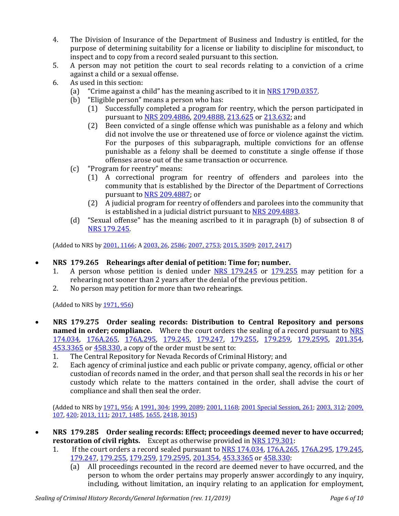- 4. The Division of Insurance of the Department of Business and Industry is entitled, for the purpose of determining suitability for a license or liability to discipline for misconduct, to inspect and to copy from a record sealed pursuant to this section.
- 5. A person may not petition the court to seal records relating to a conviction of a crime against a child or a sexual offense.
- 6. As used in this section:<br>(a) "Crime against a c
	- (a) "Crime against a child" has the meaning ascribed to it in  $NRS$  179D.0357.<br>(b) "Eligible person" means a person who has:
	- "Eligible person" means a person who has:<br>(1) Successfully completed a program for
		- Successfully completed a program for reentry, which the person participated in pursuant to [NRS 209.4886,](https://www.leg.state.nv.us/NRS/NRS-209.html#NRS209Sec4886) [209.4888,](https://www.leg.state.nv.us/NRS/NRS-209.html#NRS209Sec4888) [213.625](https://www.leg.state.nv.us/NRS/NRS-213.html#NRS213Sec625) or [213.632;](https://www.leg.state.nv.us/NRS/NRS-213.html#NRS213Sec632) and
		- (2) Been convicted of a single offense which was punishable as a felony and which did not involve the use or threatened use of force or violence against the victim. For the purposes of this subparagraph, multiple convictions for an offense punishable as a felony shall be deemed to constitute a single offense if those offenses arose out of the same transaction or occurrence.
	- (c) "Program for reentry" means:
		- (1) A correctional program for reentry of offenders and parolees into the community that is established by the Director of the Department of Corrections pursuant to [NRS 209.4887;](https://www.leg.state.nv.us/NRS/NRS-209.html#NRS209Sec4887) or
		- (2) A judicial program for reentry of offenders and parolees into the community that is established in a judicial district pursuant to [NRS 209.4883.](https://www.leg.state.nv.us/NRS/NRS-209.html#NRS209Sec4883)
	- (d) "Sexual offense" has the meaning ascribed to it in paragraph (b) of subsection 8 of [NRS 179.245.](https://www.leg.state.nv.us/NRS/NRS-179.html#NRS179Sec245)

(Added to NRS b[y 2001, 1166;](https://www.leg.state.nv.us/Statutes/71st/Stats200109.html#Stats200109page1166) [A 2003, 26,](https://www.leg.state.nv.us/Statutes/72nd/Stats200301.html#Stats200301page26) [2586;](https://www.leg.state.nv.us/Statutes/72nd/Stats200321.html#Stats200321page2586) [2007, 2753;](https://www.leg.state.nv.us/Statutes/74th/Stats200723.html#Stats200723page2753) [2015, 3509;](https://www.leg.state.nv.us/Statutes/78th2015/Stats201532.html#Stats201532page3509) [2017, 2417\)](https://www.leg.state.nv.us/Statutes/79th2017/Stats201714.html#Stats201714page2417)

- **NRS 179.265 Rehearings after denial of petition: Time for; number.**
	- 1. A person whose petition is denied under [NRS 179.245](https://www.leg.state.nv.us/NRS/NRS-179.html#NRS179Sec245) or [179.255](https://www.leg.state.nv.us/NRS/NRS-179.html#NRS179Sec255) may petition for a rehearing not sooner than 2 years after the denial of the previous petition.
	- 2. No person may petition for more than two rehearings.

(Added to NRS b[y 1971, 956\)](https://www.leg.state.nv.us/Statutes/56th/Stats197104.html#Stats197104page956)

- **NRS 179.275 Order sealing records: Distribution to Central Repository and persons named in order; compliance.** Where the court orders the sealing of a record pursuant to **NRS** [174.034,](https://www.leg.state.nv.us/NRS/NRS-174.html#NRS174Sec034) [176A.265,](https://www.leg.state.nv.us/NRS/NRS-176A.html#NRS176ASec265) [176A.295,](https://www.leg.state.nv.us/NRS/NRS-176A.html#NRS176ASec295) [179.245,](https://www.leg.state.nv.us/NRS/NRS-179.html#NRS179Sec245) [179.247,](https://www.leg.state.nv.us/NRS/NRS-179.html#NRS179Sec247) [179.255,](https://www.leg.state.nv.us/NRS/NRS-179.html#NRS179Sec255) [179.259,](https://www.leg.state.nv.us/NRS/NRS-179.html#NRS179Sec259) [179.2595,](https://www.leg.state.nv.us/NRS/NRS-179.html#NRS179Sec2595) [201.354,](https://www.leg.state.nv.us/NRS/NRS-201.html#NRS201Sec354)  [453.3365](https://www.leg.state.nv.us/NRS/NRS-453.html#NRS453Sec3365) or [458.330,](https://www.leg.state.nv.us/NRS/NRS-458.html#NRS458Sec330) a copy of the order must be sent to:<br>1. The Central Repository for Nevada Records of Crimin
	- 1. The Central Repository for Nevada Records of Criminal History; and 2. Each agency of criminal justice and each public or private company.
	- Each agency of criminal justice and each public or private company, agency, official or other custodian of records named in the order, and that person shall seal the records in his or her custody which relate to the matters contained in the order, shall advise the court of compliance and shall then seal the order.

(Added to NRS by [1971, 956;](https://www.leg.state.nv.us/Statutes/56th/Stats197104.html#Stats197104page956) [A 1991, 304;](https://www.leg.state.nv.us/Statutes/66th/Stats199102.html#Stats199102page304) [1999, 2089;](https://www.leg.state.nv.us/Statutes/70th/Stats199913.html#Stats199913page2089) [2001, 1168;](https://www.leg.state.nv.us/Statutes/71st/Stats200109.html#Stats200109page1168) [2001 Special Session, 261;](https://www.leg.state.nv.us/Statutes/17thSS/Stats2001SS1702.html#Stats2001SS1702page261) [2003, 312;](https://www.leg.state.nv.us/Statutes/72nd/Stats200301.html#Stats200301page312) [2009,](https://www.leg.state.nv.us/Statutes/75th2009/Stats200902.html#Stats200902page107)  [107,](https://www.leg.state.nv.us/Statutes/75th2009/Stats200902.html#Stats200902page107) [420;](https://www.leg.state.nv.us/Statutes/75th2009/Stats200905.html#Stats200905page420) [2013, 111;](https://www.leg.state.nv.us/Statutes/77th2013/Stats201301.html#Stats201301page111) [2017, 1485,](https://www.leg.state.nv.us/Statutes/79th2017/Stats201709.html#Stats201709page1485) [1655,](https://www.leg.state.nv.us/Statutes/79th2017/Stats201710.html#Stats201710page1655) [2418,](https://www.leg.state.nv.us/Statutes/79th2017/Stats201714.html#Stats201714page2418) [3015\)](https://www.leg.state.nv.us/Statutes/79th2017/Stats201716.html#Stats201716page3015)

- **NRS 179.285 Order sealing records: Effect; proceedings deemed never to have occurred; restoration of civil rights.** Except as otherwise provided i[n NRS 179.301:](https://www.leg.state.nv.us/NRS/NRS-179.html#NRS179Sec301)<br>1. If the court orders a record sealed pursuant to NRS 174.034, 176A.265
	- If the court orders a record sealed pursuant to [NRS 174.034,](https://www.leg.state.nv.us/NRS/NRS-174.html#NRS174Sec034) [176A.265,](https://www.leg.state.nv.us/NRS/NRS-176A.html#NRS176ASec265) [176A.295,](https://www.leg.state.nv.us/NRS/NRS-176A.html#NRS176ASec295) [179.245,](https://www.leg.state.nv.us/NRS/NRS-179.html#NRS179Sec245) [179.247,](https://www.leg.state.nv.us/NRS/NRS-179.html#NRS179Sec247) [179.255,](https://www.leg.state.nv.us/NRS/NRS-179.html#NRS179Sec255) [179.259,](https://www.leg.state.nv.us/NRS/NRS-179.html#NRS179Sec259) [179.2595,](https://www.leg.state.nv.us/NRS/NRS-179.html#NRS179Sec2595) [201.354,](https://www.leg.state.nv.us/NRS/NRS-201.html#NRS201Sec354) [453.3365](https://www.leg.state.nv.us/NRS/NRS-453.html#NRS453Sec3365) o[r 458.330:](https://www.leg.state.nv.us/NRS/NRS-458.html#NRS458Sec330)<br>(a) All proceedings recounted in the record are deemed never to h
		- All proceedings recounted in the record are deemed never to have occurred, and the person to whom the order pertains may properly answer accordingly to any inquiry, including, without limitation, an inquiry relating to an application for employment,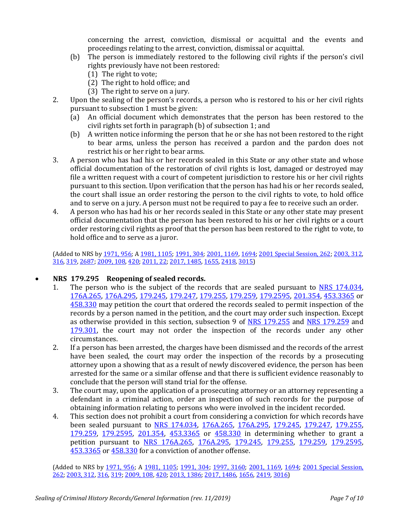concerning the arrest, conviction, dismissal or acquittal and the events and proceedings relating to the arrest, conviction, dismissal or acquittal.

- (b) The person is immediately restored to the following civil rights if the person's civil rights previously have not been restored:
	- (1) The right to vote;
	- (2) The right to hold office; and
	- (3) The right to serve on a jury.
- 2. Upon the sealing of the person's records, a person who is restored to his or her civil rights pursuant to subsection 1 must be given:<br>(a) An official document which demo
	- An official document which demonstrates that the person has been restored to the civil rights set forth in paragraph (b) of subsection 1; and
	- (b) A written notice informing the person that he or she has not been restored to the right to bear arms, unless the person has received a pardon and the pardon does not restrict his or her right to bear arms.
- 3. A person who has had his or her records sealed in this State or any other state and whose official documentation of the restoration of civil rights is lost, damaged or destroyed may file a written request with a court of competent jurisdiction to restore his or her civil rights pursuant to this section. Upon verification that the person has had his or her records sealed, the court shall issue an order restoring the person to the civil rights to vote, to hold office and to serve on a jury. A person must not be required to pay a fee to receive such an order.
- 4. A person who has had his or her records sealed in this State or any other state may present official documentation that the person has been restored to his or her civil rights or a court order restoring civil rights as proof that the person has been restored to the right to vote, to hold office and to serve as a juror.

(Added to NRS by [1971, 956;](https://www.leg.state.nv.us/Statutes/56th/Stats197104.html#Stats197104page956) A [1981, 1105;](https://www.leg.state.nv.us/Statutes/61st/Stats198106.html#Stats198106page1105) [1991, 304;](https://www.leg.state.nv.us/Statutes/66th/Stats199102.html#Stats199102page304) [2001, 1169,](https://www.leg.state.nv.us/Statutes/71st/Stats200109.html#Stats200109page1169) [1694;](https://www.leg.state.nv.us/Statutes/71st/Stats200112.html#Stats200112page1694) [2001 Special Session, 262;](https://www.leg.state.nv.us/Statutes/17thSS/Stats2001SS1702.html#Stats2001SS1702page262) [2003, 312,](https://www.leg.state.nv.us/Statutes/72nd/Stats200301.html#Stats200301page312) [316,](https://www.leg.state.nv.us/Statutes/72nd/Stats200301.html#Stats200301page316) [319,](https://www.leg.state.nv.us/Statutes/72nd/Stats200301.html#Stats200301page319) [2687;](https://www.leg.state.nv.us/Statutes/72nd/Stats200322.html#Stats200322page2687) [2009, 108,](https://www.leg.state.nv.us/Statutes/75th2009/Stats200902.html#Stats200902page108) [420;](https://www.leg.state.nv.us/Statutes/75th2009/Stats200905.html#Stats200905page420) [2011, 22;](https://www.leg.state.nv.us/Statutes/76th2011/Stats201101.html#Stats201101page22) [2017, 1485,](https://www.leg.state.nv.us/Statutes/79th2017/Stats201709.html#Stats201709page1485) [1655,](https://www.leg.state.nv.us/Statutes/79th2017/Stats201710.html#Stats201710page1655) [2418,](https://www.leg.state.nv.us/Statutes/79th2017/Stats201714.html#Stats201714page2418) [3015\)](https://www.leg.state.nv.us/Statutes/79th2017/Stats201716.html#Stats201716page3015)

# • **NRS 179.295 Reopening of sealed records.**

- 1. The person who is the subject of the records that are sealed pursuant to [NRS 174.034,](https://www.leg.state.nv.us/NRS/NRS-174.html#NRS174Sec034) [176A.265,](https://www.leg.state.nv.us/NRS/NRS-176A.html#NRS176ASec265) [176A.295,](https://www.leg.state.nv.us/NRS/NRS-176A.html#NRS176ASec295) [179.245,](https://www.leg.state.nv.us/NRS/NRS-179.html#NRS179Sec245) [179.247,](https://www.leg.state.nv.us/NRS/NRS-179.html#NRS179Sec247) [179.255,](https://www.leg.state.nv.us/NRS/NRS-179.html#NRS179Sec255) [179.259,](https://www.leg.state.nv.us/NRS/NRS-179.html#NRS179Sec259) [179.2595,](https://www.leg.state.nv.us/NRS/NRS-179.html#NRS179Sec2595) [201.354,](https://www.leg.state.nv.us/NRS/NRS-201.html#NRS201Sec354) [453.3365](https://www.leg.state.nv.us/NRS/NRS-453.html#NRS453Sec3365) or [458.330](https://www.leg.state.nv.us/NRS/NRS-458.html#NRS458Sec330) may petition the court that ordered the records sealed to permit inspection of the records by a person named in the petition, and the court may order such inspection. Except as otherwise provided in this section, subsection 9 of [NRS 179.255](https://www.leg.state.nv.us/NRS/NRS-179.html#NRS179Sec255) and [NRS 179.259](https://www.leg.state.nv.us/NRS/NRS-179.html#NRS179Sec259) and [179.301,](https://www.leg.state.nv.us/NRS/NRS-179.html#NRS179Sec301) the court may not order the inspection of the records under any other circumstances.
- 2. If a person has been arrested, the charges have been dismissed and the records of the arrest have been sealed, the court may order the inspection of the records by a prosecuting attorney upon a showing that as a result of newly discovered evidence, the person has been arrested for the same or a similar offense and that there is sufficient evidence reasonably to conclude that the person will stand trial for the offense.
- 3. The court may, upon the application of a prosecuting attorney or an attorney representing a defendant in a criminal action, order an inspection of such records for the purpose of obtaining information relating to persons who were involved in the incident recorded.
- 4. This section does not prohibit a court from considering a conviction for which records have been sealed pursuant to [NRS 174.034,](https://www.leg.state.nv.us/NRS/NRS-174.html#NRS174Sec034) [176A.265,](https://www.leg.state.nv.us/NRS/NRS-176A.html#NRS176ASec265) [176A.295,](https://www.leg.state.nv.us/NRS/NRS-176A.html#NRS176ASec295) [179.245,](https://www.leg.state.nv.us/NRS/NRS-179.html#NRS179Sec245) [179.247,](https://www.leg.state.nv.us/NRS/NRS-179.html#NRS179Sec247) [179.255,](https://www.leg.state.nv.us/NRS/NRS-179.html#NRS179Sec255) [179.259,](https://www.leg.state.nv.us/NRS/NRS-179.html#NRS179Sec259) [179.2595,](https://www.leg.state.nv.us/NRS/NRS-179.html#NRS179Sec2595) [201.354,](https://www.leg.state.nv.us/NRS/NRS-201.html#NRS201Sec354) [453.3365](https://www.leg.state.nv.us/NRS/NRS-453.html#NRS453Sec3365) or [458.330](https://www.leg.state.nv.us/NRS/NRS-458.html#NRS458Sec330) in determining whether to grant a petition pursuant to [NRS 176A.265,](https://www.leg.state.nv.us/NRS/NRS-176A.html#NRS176ASec265) [176A.295,](https://www.leg.state.nv.us/NRS/NRS-176A.html#NRS176ASec295) [179.245,](https://www.leg.state.nv.us/NRS/NRS-179.html#NRS179Sec245) [179.255,](https://www.leg.state.nv.us/NRS/NRS-179.html#NRS179Sec255) [179.259,](https://www.leg.state.nv.us/NRS/NRS-179.html#NRS179Sec259) 179.2595, [453.3365](https://www.leg.state.nv.us/NRS/NRS-453.html#NRS453Sec3365) or [458.330](https://www.leg.state.nv.us/NRS/NRS-458.html#NRS458Sec330) for a conviction of another offense.

(Added to NRS by [1971, 956;](https://www.leg.state.nv.us/Statutes/56th/Stats197104.html#Stats197104page956) A [1981, 1105;](https://www.leg.state.nv.us/Statutes/61st/Stats198106.html#Stats198106page1105) [1991, 304;](https://www.leg.state.nv.us/Statutes/66th/Stats199102.html#Stats199102page304) [1997, 3160;](https://www.leg.state.nv.us/Statutes/69th/Stats199721.html#Stats199721page3160) [2001, 1169,](https://www.leg.state.nv.us/Statutes/71st/Stats200109.html#Stats200109page1169) [1694;](https://www.leg.state.nv.us/Statutes/71st/Stats200112.html#Stats200112page1694) 2001 Special Session, [262;](https://www.leg.state.nv.us/Statutes/17thSS/Stats2001SS1702.html#Stats2001SS1702page262) [2003, 312,](https://www.leg.state.nv.us/Statutes/72nd/Stats200301.html#Stats200301page312) [316,](https://www.leg.state.nv.us/Statutes/72nd/Stats200301.html#Stats200301page316) [319;](https://www.leg.state.nv.us/Statutes/72nd/Stats200301.html#Stats200301page319) [2009, 108,](https://www.leg.state.nv.us/Statutes/75th2009/Stats200902.html#Stats200902page108) [420;](https://www.leg.state.nv.us/Statutes/75th2009/Stats200905.html#Stats200905page420) [2013, 1386;](https://www.leg.state.nv.us/Statutes/77th2013/Stats201308.html#Stats201308page1386) [2017, 1486,](https://www.leg.state.nv.us/Statutes/79th2017/Stats201709.html#Stats201709page1486) [1656,](https://www.leg.state.nv.us/Statutes/79th2017/Stats201710.html#Stats201710page1656) [2419,](https://www.leg.state.nv.us/Statutes/79th2017/Stats201714.html#Stats201714page2419) [3016\)](https://www.leg.state.nv.us/Statutes/79th2017/Stats201716.html#Stats201716page3016)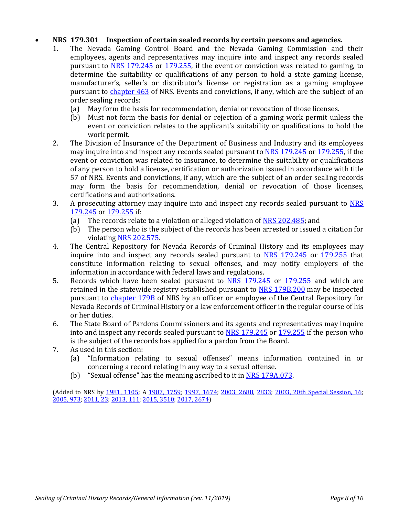### • **NRS 179.301 Inspection of certain sealed records by certain persons and agencies.**

- 1. The Nevada Gaming Control Board and the Nevada Gaming Commission and their employees, agents and representatives may inquire into and inspect any records sealed pursuant to [NRS 179.245](https://www.leg.state.nv.us/NRS/NRS-179.html#NRS179Sec245) or [179.255,](https://www.leg.state.nv.us/NRS/NRS-179.html#NRS179Sec255) if the event or conviction was related to gaming, to determine the suitability or qualifications of any person to hold a state gaming license, manufacturer's, seller's or distributor's license or registration as a gaming employee pursuant to [chapter 463](https://www.leg.state.nv.us/NRS/NRS-463.html#NRS463) of NRS. Events and convictions, if any, which are the subject of an order sealing records:<br>(a) May form the bas
	- (a) May form the basis for recommendation, denial or revocation of those licenses.<br>(b) Must not form the basis for denial or rejection of a gaming work permit unle
	- Must not form the basis for denial or rejection of a gaming work permit unless the event or conviction relates to the applicant's suitability or qualifications to hold the work permit.
- 2. The Division of Insurance of the Department of Business and Industry and its employees may inquire into and inspect any records sealed pursuant to [NRS 179.245](https://www.leg.state.nv.us/NRS/NRS-179.html#NRS179Sec245) or [179.255,](https://www.leg.state.nv.us/NRS/NRS-179.html#NRS179Sec255) if the event or conviction was related to insurance, to determine the suitability or qualifications of any person to hold a license, certification or authorization issued in accordance with title 57 of NRS. Events and convictions, if any, which are the subject of an order sealing records may form the basis for recommendation, denial or revocation of those licenses, certifications and authorizations.
- 3. A prosecuting attorney may inquire into and inspect any records sealed pursuant to **NRS [179.245](https://www.leg.state.nv.us/NRS/NRS-179.html#NRS179Sec245)** or **179.255** if:<br>(a) The records relate
	- (a) The records relate to a violation or alleged violation of  $NRS$  202.485; and (b) The person who is the subject of the records has been arrested or issued
	- The person who is the subject of the records has been arrested or issued a citation for violatin[g NRS 202.575.](https://www.leg.state.nv.us/NRS/NRS-202.html#NRS202Sec575)
- 4. The Central Repository for Nevada Records of Criminal History and its employees may inquire into and inspect any records sealed pursuant to [NRS 179.245](https://www.leg.state.nv.us/NRS/NRS-179.html#NRS179Sec245) or [179.255](https://www.leg.state.nv.us/NRS/NRS-179.html#NRS179Sec255) that constitute information relating to sexual offenses, and may notify employers of the information in accordance with federal laws and regulations.
- 5. Records which have been sealed pursuant to [NRS 179.245](https://www.leg.state.nv.us/NRS/NRS-179.html#NRS179Sec245) or [179.255](https://www.leg.state.nv.us/NRS/NRS-179.html#NRS179Sec255) and which are retained in the statewide registry established pursuant to [NRS 179B.200](https://www.leg.state.nv.us/NRS/NRS-179B.html#NRS179BSec200) may be inspected pursuant to [chapter 179B](https://www.leg.state.nv.us/NRS/NRS-179B.html#NRS179B) of NRS by an officer or employee of the Central Repository for Nevada Records of Criminal History or a law enforcement officer in the regular course of his or her duties.
- 6. The State Board of Pardons Commissioners and its agents and representatives may inquire into and inspect any records sealed pursuant to [NRS 179.245](https://www.leg.state.nv.us/NRS/NRS-179.html#NRS179Sec245) or [179.255](https://www.leg.state.nv.us/NRS/NRS-179.html#NRS179Sec255) if the person who is the subject of the records has applied for a pardon from the Board.
- 7. As used in this section:<br>(a) "Information rela
	- "Information relating to sexual offenses" means information contained in or concerning a record relating in any way to a sexual offense.
	- (b) "Sexual offense" has the meaning ascribed to it in [NRS 179A.073.](https://www.leg.state.nv.us/NRS/NRS-179A.html#NRS179ASec073)

(Added to NRS by [1981, 1105;](https://www.leg.state.nv.us/Statutes/61st/Stats198106.html#Stats198106page1105) A [1987, 1759;](https://www.leg.state.nv.us/Statutes/64th/Stats198708.html#Stats198708page1759) [1997, 1674;](https://www.leg.state.nv.us/Statutes/69th/Stats199712.html#Stats199712page1674) [2003, 2688,](https://www.leg.state.nv.us/Statutes/72nd/Stats200322.html#Stats200322page2688) [2833;](https://www.leg.state.nv.us/Statutes/72nd/Stats200323.html#Stats200323page2833) 2003, 20th Special Session, 16; [2005, 973;](https://www.leg.state.nv.us/Statutes/73rd/Stats200510.html#Stats200510page973) [2011, 23;](https://www.leg.state.nv.us/Statutes/76th2011/Stats201101.html#Stats201101page23) [2013, 111;](https://www.leg.state.nv.us/Statutes/77th2013/Stats201301.html#Stats201301page111) [2015, 3510;](https://www.leg.state.nv.us/Statutes/78th2015/Stats201532.html#Stats201532page3510) [2017, 2674\)](https://www.leg.state.nv.us/Statutes/79th2017/Stats201715.html#Stats201715page2674)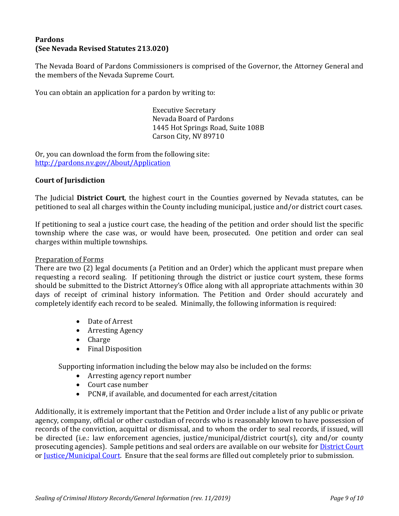# **Pardons (See Nevada Revised Statutes 213.020)**

The Nevada Board of Pardons Commissioners is comprised of the Governor, the Attorney General and the members of the Nevada Supreme Court.

You can obtain an application for a pardon by writing to:

Executive Secretary Nevada Board of Pardons 1445 Hot Springs Road, Suite 108B Carson City, NV 89710

Or, you can download the form from the following site: <http://pardons.nv.gov/About/Application>

### **Court of Jurisdiction**

The Judicial **District Court**, the highest court in the Counties governed by Nevada statutes, can be petitioned to seal all charges within the County including municipal, justice and/or district court cases.

If petitioning to seal a justice court case, the heading of the petition and order should list the specific township where the case was, or would have been, prosecuted. One petition and order can seal charges within multiple townships.

### Preparation of Forms

There are two (2) legal documents (a Petition and an Order) which the applicant must prepare when requesting a record sealing. If petitioning through the district or justice court system, these forms should be submitted to the District Attorney's Office along with all appropriate attachments within 30 days of receipt of criminal history information. The Petition and Order should accurately and completely identify each record to be sealed. Minimally, the following information is required:

- Date of Arrest
- Arresting Agency
- Charge
- Final Disposition

Supporting information including the below may also be included on the forms:

- Arresting agency report number
- Court case number
- PCN#, if available, and documented for each arrest/citation

Additionally, it is extremely important that the Petition and Order include a list of any public or private agency, company, official or other custodian of records who is reasonably known to have possession of records of the conviction, acquittal or dismissal, and to whom the order to seal records, if issued, will be directed (i.e.: law enforcement agencies, justice/municipal/district court(s), city and/or county prosecuting agencies). Sample petitions and seal orders are available on our website for [District Court](https://rccd.nv.gov/FeesForms/Criminal/History/) or [Justice/Municipal Court.](https://rccd.nv.gov/FeesForms/Criminal/History/) Ensure that the seal forms are filled out completely prior to submission.